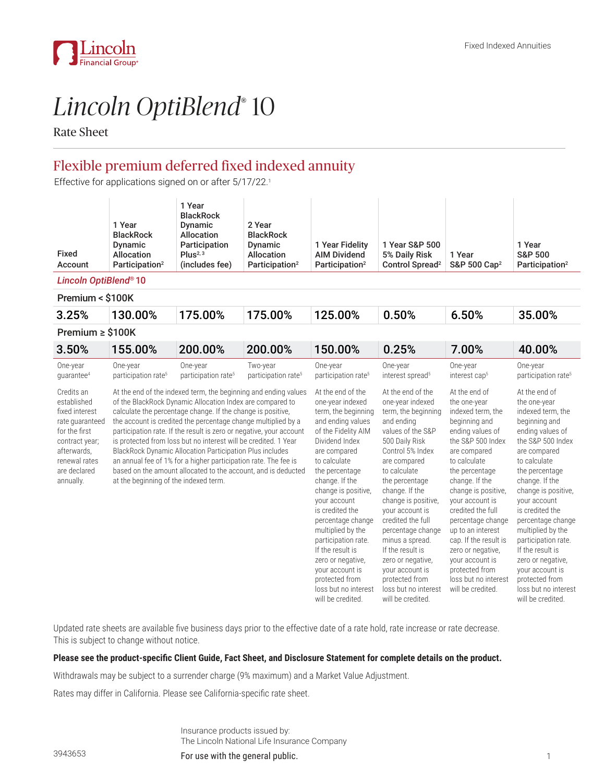

# *Lincoln OptiBlend*® 10

Rate Sheet

# Flexible premium deferred fixed indexed annuity

Effective for applications signed on or after 5/17/22.<sup>1</sup>

| Fixed<br>Account                                                                                                                                               | 1 Year<br><b>BlackRock</b><br>Dynamic<br>Allocation<br>Participation <sup>2</sup>                                                                                                                                                                                                                                                                                                                                                                                                                                                                                                                                                               | 1 Year<br><b>BlackRock</b><br>Dynamic<br><b>Allocation</b><br>Participation<br>Plus <sup>2, 3</sup><br>(includes fee) | 2 Year<br><b>BlackRock</b><br>Dynamic<br>Allocation<br>Participation <sup>2</sup> | 1 Year Fidelity<br><b>AIM Dividend</b><br>Participation <sup>2</sup>                                                                                                                                                                                                                                                                                                                                                                                 | 1 Year S&P 500<br>5% Daily Risk<br>Control Spread <sup>2</sup>                                                                                                                                                                                                                                                                                                                                                                              | 1 Year<br>S&P 500 Cap <sup>2</sup>                                                                                                                                                                                                                                                                                                                                                                                        | 1 Year<br><b>S&amp;P 500</b><br>Participation <sup>2</sup>                                                                                                                                                                                                                                                                                                                                                                             |  |
|----------------------------------------------------------------------------------------------------------------------------------------------------------------|-------------------------------------------------------------------------------------------------------------------------------------------------------------------------------------------------------------------------------------------------------------------------------------------------------------------------------------------------------------------------------------------------------------------------------------------------------------------------------------------------------------------------------------------------------------------------------------------------------------------------------------------------|-----------------------------------------------------------------------------------------------------------------------|-----------------------------------------------------------------------------------|------------------------------------------------------------------------------------------------------------------------------------------------------------------------------------------------------------------------------------------------------------------------------------------------------------------------------------------------------------------------------------------------------------------------------------------------------|---------------------------------------------------------------------------------------------------------------------------------------------------------------------------------------------------------------------------------------------------------------------------------------------------------------------------------------------------------------------------------------------------------------------------------------------|---------------------------------------------------------------------------------------------------------------------------------------------------------------------------------------------------------------------------------------------------------------------------------------------------------------------------------------------------------------------------------------------------------------------------|----------------------------------------------------------------------------------------------------------------------------------------------------------------------------------------------------------------------------------------------------------------------------------------------------------------------------------------------------------------------------------------------------------------------------------------|--|
| Lincoln OptiBlend® 10                                                                                                                                          |                                                                                                                                                                                                                                                                                                                                                                                                                                                                                                                                                                                                                                                 |                                                                                                                       |                                                                                   |                                                                                                                                                                                                                                                                                                                                                                                                                                                      |                                                                                                                                                                                                                                                                                                                                                                                                                                             |                                                                                                                                                                                                                                                                                                                                                                                                                           |                                                                                                                                                                                                                                                                                                                                                                                                                                        |  |
| Premium < \$100K                                                                                                                                               |                                                                                                                                                                                                                                                                                                                                                                                                                                                                                                                                                                                                                                                 |                                                                                                                       |                                                                                   |                                                                                                                                                                                                                                                                                                                                                                                                                                                      |                                                                                                                                                                                                                                                                                                                                                                                                                                             |                                                                                                                                                                                                                                                                                                                                                                                                                           |                                                                                                                                                                                                                                                                                                                                                                                                                                        |  |
| 3.25%                                                                                                                                                          | 130.00%                                                                                                                                                                                                                                                                                                                                                                                                                                                                                                                                                                                                                                         | 175.00%                                                                                                               | 175.00%                                                                           | 125.00%                                                                                                                                                                                                                                                                                                                                                                                                                                              | 0.50%                                                                                                                                                                                                                                                                                                                                                                                                                                       | 6.50%                                                                                                                                                                                                                                                                                                                                                                                                                     | 35.00%                                                                                                                                                                                                                                                                                                                                                                                                                                 |  |
| Premium $\ge$ \$100K                                                                                                                                           |                                                                                                                                                                                                                                                                                                                                                                                                                                                                                                                                                                                                                                                 |                                                                                                                       |                                                                                   |                                                                                                                                                                                                                                                                                                                                                                                                                                                      |                                                                                                                                                                                                                                                                                                                                                                                                                                             |                                                                                                                                                                                                                                                                                                                                                                                                                           |                                                                                                                                                                                                                                                                                                                                                                                                                                        |  |
| 3.50%                                                                                                                                                          | 155.00%                                                                                                                                                                                                                                                                                                                                                                                                                                                                                                                                                                                                                                         | 200.00%                                                                                                               | 200.00%                                                                           | 150.00%                                                                                                                                                                                                                                                                                                                                                                                                                                              | 0.25%                                                                                                                                                                                                                                                                                                                                                                                                                                       | 7.00%                                                                                                                                                                                                                                                                                                                                                                                                                     | 40.00%                                                                                                                                                                                                                                                                                                                                                                                                                                 |  |
| One-year<br>quarantee <sup>4</sup>                                                                                                                             | One-year<br>participation rate <sup>5</sup>                                                                                                                                                                                                                                                                                                                                                                                                                                                                                                                                                                                                     | One-year<br>participation rate <sup>5</sup>                                                                           | Two-year<br>participation rate <sup>5</sup>                                       | One-year<br>participation rate <sup>5</sup>                                                                                                                                                                                                                                                                                                                                                                                                          | One-year<br>interest spread <sup>5</sup>                                                                                                                                                                                                                                                                                                                                                                                                    | One-year<br>interest cap <sup>5</sup>                                                                                                                                                                                                                                                                                                                                                                                     | One-year<br>participation rate <sup>5</sup>                                                                                                                                                                                                                                                                                                                                                                                            |  |
| Credits an<br>established<br>fixed interest<br>rate quaranteed<br>for the first<br>contract year;<br>afterwards,<br>renewal rates<br>are declared<br>annually. | At the end of the indexed term, the beginning and ending values<br>of the BlackRock Dynamic Allocation Index are compared to<br>calculate the percentage change. If the change is positive,<br>the account is credited the percentage change multiplied by a<br>participation rate. If the result is zero or negative, your account<br>is protected from loss but no interest will be credited. 1 Year<br>BlackRock Dynamic Allocation Participation Plus includes<br>an annual fee of 1% for a higher participation rate. The fee is<br>based on the amount allocated to the account, and is deducted<br>at the beginning of the indexed term. |                                                                                                                       |                                                                                   | At the end of the<br>one-year indexed<br>term, the beginning<br>and ending values<br>of the Fidelity AIM<br>Dividend Index<br>are compared<br>to calculate<br>the percentage<br>change. If the<br>change is positive,<br>your account<br>is credited the<br>percentage change<br>multiplied by the<br>participation rate.<br>If the result is<br>zero or negative,<br>your account is<br>protected from<br>loss but no interest<br>will be credited. | At the end of the<br>one-year indexed<br>term, the beginning<br>and ending<br>values of the S&P<br>500 Daily Risk<br>Control 5% Index<br>are compared<br>to calculate<br>the percentage<br>change. If the<br>change is positive,<br>your account is<br>credited the full<br>percentage change<br>minus a spread.<br>If the result is<br>zero or negative,<br>your account is<br>protected from<br>loss but no interest<br>will be credited. | At the end of<br>the one-year<br>indexed term, the<br>beginning and<br>ending values of<br>the S&P 500 Index<br>are compared<br>to calculate<br>the percentage<br>change. If the<br>change is positive,<br>your account is<br>credited the full<br>percentage change<br>up to an interest<br>cap. If the result is<br>zero or negative,<br>your account is<br>protected from<br>loss but no interest<br>will be credited. | At the end of<br>the one-year<br>indexed term, the<br>beginning and<br>ending values of<br>the S&P 500 Index<br>are compared<br>to calculate<br>the percentage<br>change. If the<br>change is positive,<br>your account<br>is credited the<br>percentage change<br>multiplied by the<br>participation rate.<br>If the result is<br>zero or negative,<br>your account is<br>protected from<br>loss but no interest<br>will be credited. |  |

Updated rate sheets are available five business days prior to the effective date of a rate hold, rate increase or rate decrease. This is subject to change without notice.

## **Please see the product-specific Client Guide, Fact Sheet, and Disclosure Statement for complete details on the product.**

Withdrawals may be subject to a surrender charge (9% maximum) and a Market Value Adjustment.

Rates may differ in California. Please see California-specific rate sheet.

Insurance products issued by: The Lincoln National Life Insurance Company

For use with the general public. The state of the state of the state of the state of the state of the state of the state of the state of the state of the state of the state of the state of the state of the state of the sta